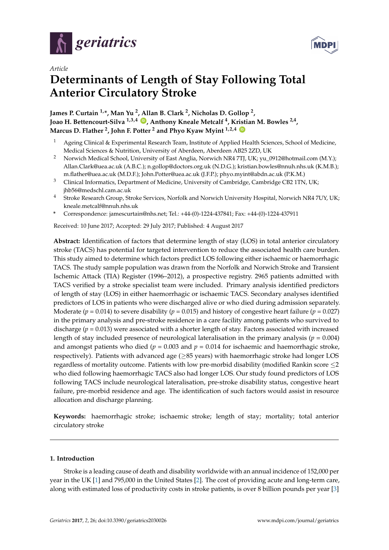



# *Article* **Determinants of Length of Stay Following Total Anterior Circulatory Stroke**

**James P. Curtain 1,\*, Man Yu <sup>2</sup> , Allan B. Clark <sup>2</sup> , Nicholas D. Gollop <sup>2</sup> , Joao H. Bettencourt-Silva 1,3,4 [ID](https://orcid.org/0000-0002-4562-0911) , Anthony Kneale Metcalf <sup>4</sup> , Kristian M. Bowles 2,4 , Marcus D. Flather <sup>2</sup> , John F. Potter <sup>2</sup> and Phyo Kyaw Myint 1,2,4 [ID](https://orcid.org/0000-0003-3852-6158)**

- Ageing Clinical & Experimental Research Team, Institute of Applied Health Sciences, School of Medicine, Medical Sciences & Nutrition, University of Aberdeen, Aberdeen AB25 2ZD, UK
- <sup>2</sup> Norwich Medical School, University of East Anglia, Norwich NR4 7TJ, UK; yu\_0912@hotmail.com (M.Y.); Allan.Clark@uea.ac.uk (A.B.C.); n.gollop@doctors.org.uk (N.D.G.); kristian.bowles@nnuh.nhs.uk (K.M.B.); m.flather@uea.ac.uk (M.D.F.); John.Potter@uea.ac.uk (J.F.P.); phyo.myint@abdn.ac.uk (P.K.M.)
- <sup>3</sup> Clinical Informatics, Department of Medicine, University of Cambridge, Cambridge CB2 1TN, UK; jhb56@medschl.cam.ac.uk
- <sup>4</sup> Stroke Research Group, Stroke Services, Norfolk and Norwich University Hospital, Norwich NR4 7UY, UK; kneale.metcalf@nnuh.nhs.uk
- **\*** Correspondence: jamescurtain@nhs.net; Tel.: +44-(0)-1224-437841; Fax: +44-(0)-1224-437911

Received: 10 June 2017; Accepted: 29 July 2017; Published: 4 August 2017

**Abstract:** Identification of factors that determine length of stay (LOS) in total anterior circulatory stroke (TACS) has potential for targeted intervention to reduce the associated health care burden. This study aimed to determine which factors predict LOS following either ischaemic or haemorrhagic TACS. The study sample population was drawn from the Norfolk and Norwich Stroke and Transient Ischemic Attack (TIA) Register (1996–2012), a prospective registry. 2965 patients admitted with TACS verified by a stroke specialist team were included. Primary analysis identified predictors of length of stay (LOS) in either haemorrhagic or ischaemic TACS. Secondary analyses identified predictors of LOS in patients who were discharged alive or who died during admission separately. Moderate ( $p = 0.014$ ) to severe disability ( $p = 0.015$ ) and history of congestive heart failure ( $p = 0.027$ ) in the primary analysis and pre-stroke residence in a care facility among patients who survived to discharge (*p* = 0.013) were associated with a shorter length of stay. Factors associated with increased length of stay included presence of neurological lateralisation in the primary analysis (*p* = 0.004) and amongst patients who died ( $p = 0.003$  and  $p = 0.014$  for ischaemic and haemorrhagic stroke, respectively). Patients with advanced age (≥85 years) with haemorrhagic stroke had longer LOS regardless of mortality outcome. Patients with low pre-morbid disability (modified Rankin score ≤2 who died following haemorrhagic TACS also had longer LOS. Our study found predictors of LOS following TACS include neurological lateralisation, pre-stroke disability status, congestive heart failure, pre-morbid residence and age. The identification of such factors would assist in resource allocation and discharge planning.

**Keywords:** haemorrhagic stroke; ischaemic stroke; length of stay; mortality; total anterior circulatory stroke

# **1. Introduction**

Stroke is a leading cause of death and disability worldwide with an annual incidence of 152,000 per year in the UK [\[1\]](#page-7-0) and 795,000 in the United States [\[2\]](#page-7-1). The cost of providing acute and long-term care, along with estimated loss of productivity costs in stroke patients, is over 8 billion pounds per year [\[3\]](#page-7-2)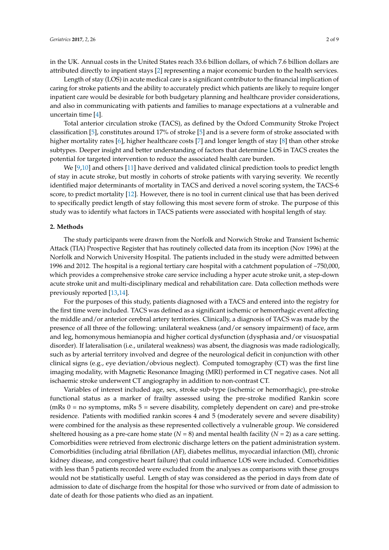in the UK. Annual costs in the United States reach 33.6 billion dollars, of which 7.6 billion dollars are attributed directly to inpatient stays [\[2\]](#page-7-1) representing a major economic burden to the health services.

Length of stay (LOS) in acute medical care is a significant contributor to the financial implication of caring for stroke patients and the ability to accurately predict which patients are likely to require longer inpatient care would be desirable for both budgetary planning and healthcare provider considerations, and also in communicating with patients and families to manage expectations at a vulnerable and uncertain time [\[4\]](#page-7-3).

Total anterior circulation stroke (TACS), as defined by the Oxford Community Stroke Project classification [\[5\]](#page-7-4), constitutes around 17% of stroke [\[5\]](#page-7-4) and is a severe form of stroke associated with higher mortality rates [\[6\]](#page-7-5), higher healthcare costs [\[7\]](#page-7-6) and longer length of stay [\[8\]](#page-7-7) than other stroke subtypes. Deeper insight and better understanding of factors that determine LOS in TACS creates the potential for targeted intervention to reduce the associated health care burden.

We [\[9](#page-7-8)[,10\]](#page-8-0) and others [\[11\]](#page-8-1) have derived and validated clinical prediction tools to predict length of stay in acute stroke, but mostly in cohorts of stroke patients with varying severity. We recently identified major determinants of mortality in TACS and derived a novel scoring system, the TACS-6 score, to predict mortality [\[12\]](#page-8-2). However, there is no tool in current clinical use that has been derived to specifically predict length of stay following this most severe form of stroke. The purpose of this study was to identify what factors in TACS patients were associated with hospital length of stay.

#### **2. Methods**

The study participants were drawn from the Norfolk and Norwich Stroke and Transient Ischemic Attack (TIA) Prospective Register that has routinely collected data from its inception (Nov 1996) at the Norfolk and Norwich University Hospital. The patients included in the study were admitted between 1996 and 2012. The hospital is a regional tertiary care hospital with a catchment population of ~750,000, which provides a comprehensive stroke care service including a hyper acute stroke unit, a step-down acute stroke unit and multi-disciplinary medical and rehabilitation care. Data collection methods were previously reported [\[13,](#page-8-3)[14\]](#page-8-4).

For the purposes of this study, patients diagnosed with a TACS and entered into the registry for the first time were included. TACS was defined as a significant ischemic or hemorrhagic event affecting the middle and/or anterior cerebral artery territories. Clinically, a diagnosis of TACS was made by the presence of all three of the following: unilateral weakness (and/or sensory impairment) of face, arm and leg, homonymous hemianopia and higher cortical dysfunction (dysphasia and/or visuospatial disorder). If lateralisation (i.e., unilateral weakness) was absent, the diagnosis was made radiologically, such as by arterial territory involved and degree of the neurological deficit in conjunction with other clinical signs (e.g., eye deviation/obvious neglect). Computed tomography (CT) was the first line imaging modality, with Magnetic Resonance Imaging (MRI) performed in CT negative cases. Not all ischaemic stroke underwent CT angiography in addition to non-contrast CT.

Variables of interest included age, sex, stroke sub-type (ischemic or hemorrhagic), pre-stroke functional status as a marker of frailty assessed using the pre-stroke modified Rankin score (mRs  $0 =$  no symptoms, mRs  $5 =$  severe disability, completely dependent on care) and pre-stroke residence. Patients with modified rankin scores 4 and 5 (moderately severe and severe disability) were combined for the analysis as these represented collectively a vulnerable group. We considered sheltered housing as a pre-care home state  $(N = 8)$  and mental health facility  $(N = 2)$  as a care setting. Comorbidities were retrieved from electronic discharge letters on the patient administration system. Comorbidities (including atrial fibrillation (AF), diabetes mellitus, myocardial infarction (MI), chronic kidney disease, and congestive heart failure) that could influence LOS were included. Comorbidities with less than 5 patients recorded were excluded from the analyses as comparisons with these groups would not be statistically useful. Length of stay was considered as the period in days from date of admission to date of discharge from the hospital for those who survived or from date of admission to date of death for those patients who died as an inpatient.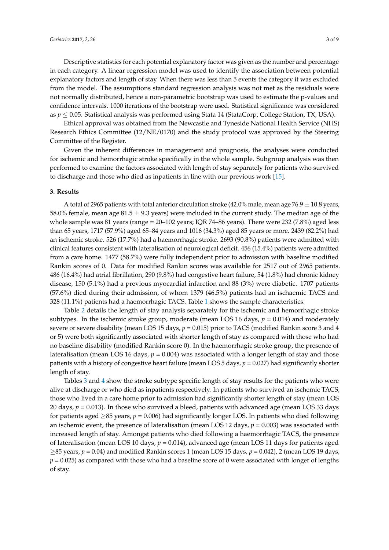Descriptive statistics for each potential explanatory factor was given as the number and percentage in each category. A linear regression model was used to identify the association between potential explanatory factors and length of stay. When there was less than 5 events the category it was excluded from the model. The assumptions standard regression analysis was not met as the residuals were not normally distributed, hence a non-parametric bootstrap was used to estimate the p-values and confidence intervals. 1000 iterations of the bootstrap were used. Statistical significance was considered as *p* ≤ 0.05. Statistical analysis was performed using Stata 14 (StataCorp, College Station, TX, USA).

Ethical approval was obtained from the Newcastle and Tyneside National Health Service (NHS) Research Ethics Committee (12/NE/0170) and the study protocol was approved by the Steering Committee of the Register.

Given the inherent differences in management and prognosis, the analyses were conducted for ischemic and hemorrhagic stroke specifically in the whole sample. Subgroup analysis was then performed to examine the factors associated with length of stay separately for patients who survived to discharge and those who died as inpatients in line with our previous work [\[15\]](#page-8-5).

#### **3. Results**

A total of 2965 patients with total anterior circulation stroke (42.0% male, mean age 76.9  $\pm$  10.8 years, 58.0% female, mean age 81.5  $\pm$  9.3 years) were included in the current study. The median age of the whole sample was 81 years (range = 20–102 years; IQR 74–86 years). There were 232 (7.8%) aged less than 65 years, 1717 (57.9%) aged 65–84 years and 1016 (34.3%) aged 85 years or more. 2439 (82.2%) had an ischemic stroke. 526 (17.7%) had a haemorrhagic stroke. 2693 (90.8%) patients were admitted with clinical features consistent with lateralisation of neurological deficit. 456 (15.4%) patients were admitted from a care home. 1477 (58.7%) were fully independent prior to admission with baseline modified Rankin scores of 0. Data for modified Rankin scores was available for 2517 out of 2965 patients. 486 (16.4%) had atrial fibrillation, 290 (9.8%) had congestive heart failure, 54 (1.8%) had chronic kidney disease, 150 (5.1%) had a previous myocardial infarction and 88 (3%) were diabetic. 1707 patients (57.6%) died during their admission, of whom 1379 (46.5%) patients had an ischaemic TACS and 328 (11.1%) patients had a haemorrhagic TACS. Table [1](#page-3-0) shows the sample characteristics.

Table [2](#page-4-0) details the length of stay analysis separately for the ischemic and hemorrhagic stroke subtypes. In the ischemic stroke group, moderate (mean LOS 16 days, *p* = 0.014) and moderately severe or severe disability (mean LOS 15 days,  $p = 0.015$ ) prior to TACS (modified Rankin score 3 and 4 or 5) were both significantly associated with shorter length of stay as compared with those who had no baseline disability (modified Rankin score 0). In the haemorrhagic stroke group, the presence of lateralisation (mean LOS 16 days,  $p = 0.004$ ) was associated with a longer length of stay and those patients with a history of congestive heart failure (mean LOS 5 days, *p* = 0.027) had significantly shorter length of stay.

Tables [3](#page-4-1) and [4](#page-5-0) show the stroke subtype specific length of stay results for the patients who were alive at discharge or who died as inpatients respectively. In patients who survived an ischemic TACS, those who lived in a care home prior to admission had significantly shorter length of stay (mean LOS 20 days,  $p = 0.013$ ). In those who survived a bleed, patients with advanced age (mean LOS 33 days for patients aged ≥85 years, *p* = 0.006) had significantly longer LOS. In patients who died following an ischemic event, the presence of lateralisation (mean LOS 12 days,  $p = 0.003$ ) was associated with increased length of stay. Amongst patients who died following a haemorrhagic TACS, the presence of lateralisation (mean LOS 10 days, *p* = 0.014), advanced age (mean LOS 11 days for patients aged ≥85 years, *p* = 0.04) and modified Rankin scores 1 (mean LOS 15 days, *p* = 0.042), 2 (mean LOS 19 days,  $p = 0.025$ ) as compared with those who had a baseline score of 0 were associated with longer of lengths of stay.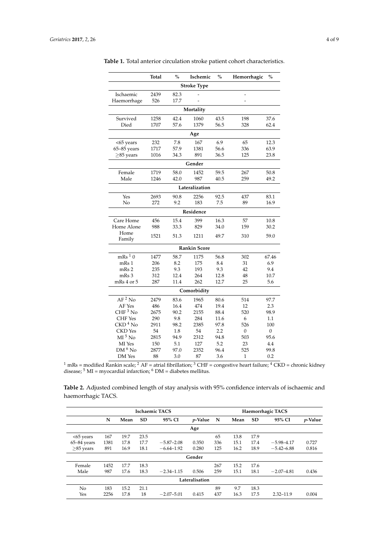|                               | <b>Total</b> | $\frac{0}{0}$ | Ischemic            | $\%$ | Hemorrhagic  | $\frac{0}{0}$ |  |  |  |
|-------------------------------|--------------|---------------|---------------------|------|--------------|---------------|--|--|--|
| <b>Stroke Type</b>            |              |               |                     |      |              |               |  |  |  |
| Ischaemic                     | 2439         | 82.3          |                     |      | L,           |               |  |  |  |
| Haemorrhage                   | 526          | 17.7          |                     |      |              |               |  |  |  |
|                               |              |               | Mortality           |      |              |               |  |  |  |
| Survived                      | 1258         | 42.4          | 1060                | 43.5 | 198          | 37.6          |  |  |  |
| Died                          | 1707         | 57.6          | 1379                | 56.5 | 328          | 62.4          |  |  |  |
|                               |              |               | Age                 |      |              |               |  |  |  |
| <65 years                     | 232          | 7.8           | 167                 | 6.9  | 65           | 12.3          |  |  |  |
| 65-85 years                   | 1717         | 57.9          | 1381                | 56.6 | 336          | 63.9          |  |  |  |
| $>85$ years                   | 1016         | 34.3          | 891                 | 36.5 | 125          | 23.8          |  |  |  |
|                               |              |               | Gender              |      |              |               |  |  |  |
| Female                        | 1719         | 58.0          | 1452                | 59.5 | 267          | 50.8          |  |  |  |
| Male                          | 1246         | 42.0          | 987                 | 40.5 | 259          | 49.2          |  |  |  |
|                               |              |               | Lateralization      |      |              |               |  |  |  |
| Yes                           | 2693         | 90.8          | 2256                | 92.5 | 437          | 83.1          |  |  |  |
| No                            | 272          | 9.2           | 183                 | 7.5  | 89           | 16.9          |  |  |  |
|                               |              |               | Residence           |      |              |               |  |  |  |
| Care Home                     | 456          | 15.4          | 399                 | 16.3 | 57           | 10.8          |  |  |  |
| Home Alone                    | 988          | 33.3          | 829                 | 34.0 | 159          | 30.2          |  |  |  |
| Home                          | 1521         | 51.3          | 1211                | 49.7 | 310          | 59.0          |  |  |  |
| Family                        |              |               |                     |      |              |               |  |  |  |
|                               |              |               | <b>Rankin Score</b> |      |              |               |  |  |  |
| $mRs$ <sup>1</sup> $0$        | 1477         | 58.7          | 1175                | 56.8 | 302          | 67.46         |  |  |  |
| mRs 1                         | 206          | 8.2           | 175                 | 8.4  | 31           | 6.9           |  |  |  |
| mRs 2                         | 235          | 9.3           | 193                 | 9.3  | 42           | 9.4           |  |  |  |
| mRs 3                         | 312          | 12.4          | 264                 | 12.8 | 48           | 10.7          |  |  |  |
| mRs 4 or 5                    | 287          | 11.4          | 262                 | 12.7 | 25           | 5.6           |  |  |  |
|                               |              |               | Comorbidity         |      |              |               |  |  |  |
| $AF2$ No                      | 2479         | 83.6          | 1965                | 80.6 | 514          | 97.7          |  |  |  |
| AF Yes                        | 486          | 16.4          | 474                 | 19.4 | 12           | 2.3           |  |  |  |
| $CHF3$ No                     | 2675         | 90.2          | 2155                | 88.4 | 520          | 98.9          |  |  |  |
| <b>CHF</b> Yes                | 290          | 9.8           | 284                 | 11.6 | 6            | 1.1           |  |  |  |
| $\rm{CKD}\,{}^{4}$ No         | 2911         | 98.2          | 2385                | 97.8 | 526          | 100           |  |  |  |
| <b>CKD</b> Yes                | 54           | 1.8           | 54                  | 2.2  | $\mathbf{0}$ | 0             |  |  |  |
| $\mathrm{MI}$ <sup>5</sup> No | 2815         | 94.9          | 2312                | 94.8 | 503          | 95.6          |  |  |  |
| MI Yes                        | 150          | 5.1           | 127                 | 5.2  | 23           | 4.4           |  |  |  |
| $DM6$ No                      | 2877         | 97.0          | 2352                | 96.4 | 525          | 99.8          |  |  |  |
| DM Yes                        | 88           | 3.0           | 87                  | 3.6  | 1            | 0.2           |  |  |  |

<span id="page-3-0"></span>**Table 1.** Total anterior circulation stroke patient cohort characteristics.

 $^1$  mRs = modified Rankin scale;  $^2$  AF = atrial fibrillation;  $^3$  CHF = congestive heart failure;  $^4$  CKD = chronic kidney disease;  $5$  MI = myocardial infarction;  $6$  DM = diabetes mellitus.

**Table 2.** Adjusted combined length of stay analysis with 95% confidence intervals of ischaemic and haemorrhagic TACS.

|                 |      |      |      | <b>Ischaemic TACS</b> |                 | Haemorrhagic TACS |      |      |                |                 |
|-----------------|------|------|------|-----------------------|-----------------|-------------------|------|------|----------------|-----------------|
|                 | N    | Mean | SD   | 95% CI                | <i>p</i> -Value | N                 | Mean | SD   | 95% CI         | <i>p</i> -Value |
|                 |      |      |      |                       | Age             |                   |      |      |                |                 |
| $<65$ years     | 167  | 19.7 | 23.5 |                       |                 | 65                | 13.8 | 17.9 |                |                 |
| $65 - 84$ years | 1381 | 17.8 | 17.7 | $-5.87 - 2.08$        | 0.350           | 336               | 15.1 | 17.4 | $-5.98 - 4.17$ | 0.727           |
| $\geq$ 85 years | 891  | 16.9 | 18.1 | $-6.64 - 1.92$        | 0.280           | 125               | 16.2 | 18.9 | $-5.42 - 6.88$ | 0.816           |
|                 |      |      |      |                       | Gender          |                   |      |      |                |                 |
| Female          | 1452 | 17.7 | 18.3 |                       |                 | 267               | 15.2 | 17.6 |                |                 |
| Male            | 987  | 17.6 | 18.3 | $-2.34 - 1.15$        | 0.506           | 259               | 15.1 | 18.1 | $-2.07 - 4.81$ | 0.436           |
|                 |      |      |      |                       | Lateralisation  |                   |      |      |                |                 |
| N <sub>o</sub>  | 183  | 15.2 | 21.1 |                       |                 | 89                | 9.7  | 18.3 |                |                 |
| Yes             | 2256 | 17.8 | 18   | $-2.07 - 5.01$        | 0.415           | 437               | 16.3 | 17.5 | $2.32 - 11.9$  | 0.004           |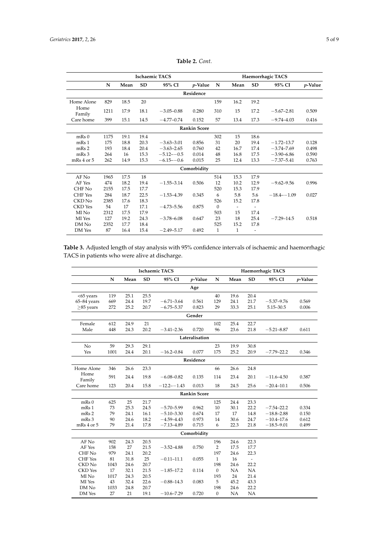<span id="page-4-0"></span>

|                    |      |      |           | <b>Ischaemic TACS</b> |                     | Haemorrhagic TACS |      |                          |                 |            |
|--------------------|------|------|-----------|-----------------------|---------------------|-------------------|------|--------------------------|-----------------|------------|
|                    | N    | Mean | <b>SD</b> | 95% CI                | $p$ -Value          | N                 | Mean | <b>SD</b>                | 95% CI          | $p$ -Value |
|                    |      |      |           |                       | Residence           |                   |      |                          |                 |            |
| Home Alone         | 829  | 18.5 | 20        |                       |                     | 159               | 16.2 | 19.2                     |                 |            |
| Home<br>Family     | 1211 | 17.9 | 18.1      | $-3.05 - 0.88$        | 0.280               | 310               | 15   | 17.2                     | $-5.67 - 2.81$  | 0.509      |
| Care home          | 399  | 15.1 | 14.5      | $-4.77 - 0.74$        | 0.152               | 57                | 13.4 | 17.3                     | $-9.74 - 4.03$  | 0.416      |
|                    |      |      |           |                       | <b>Rankin Score</b> |                   |      |                          |                 |            |
| $mRs$ <sub>0</sub> | 1175 | 19.1 | 19.4      |                       |                     | 302               | 15   | 18.6                     |                 |            |
| mRs 1              | 175  | 18.8 | 20.3      | $-3.63 - 3.01$        | 0.856               | 31                | 20   | 19.4                     | $-1.72 - 13.7$  | 0.128      |
| mRs 2              | 193  | 18.4 | 20.4      | $-3.63 - 2.65$        | 0.760               | 42                | 16.7 | 17.4                     | $-3.74 - 7.69$  | 0.498      |
| mRs 3              | 264  | 16   | 15.3      | $-5.12 - -0.5$        | 0.014               | 48                | 16.8 | 17.5                     | $-3.90 - 6.86$  | 0.590      |
| $mRs 4$ or $5$     | 262  | 14.9 | 15.3      | $-6.15 - -0.6$        | 0.015               | 25                | 12.4 | 13.3                     | $-7.37 - 5.41$  | 0.763      |
|                    |      |      |           |                       | Comorbidity         |                   |      |                          |                 |            |
| AF No              | 1965 | 17.5 | 18        |                       |                     | 514               | 15.3 | 17.9                     |                 |            |
| AF Yes             | 474  | 18.2 | 19.4      | $-1.55 - 3.14$        | 0.506               | 12                | 10.2 | 12.9                     | $-9.62 - 9.56$  | 0.996      |
| CHF No             | 2155 | 17.5 | 17.7      |                       |                     | 520               | 15.3 | 17.9                     |                 |            |
| <b>CHF</b> Yes     | 284  | 18.7 | 22.5      | $-1.53 - 4.39$        | 0.345               | 6                 | 5.8  | 5.6                      | $-18.4 - -1.09$ | 0.027      |
| CKD No             | 2385 | 17.6 | 18.3      |                       |                     | 526               | 15.2 | 17.8                     |                 |            |
| <b>CKD</b> Yes     | 54   | 17   | 17.1      | $-4.73 - 5.56$        | 0.875               | $\Omega$          |      | $\overline{\phantom{a}}$ |                 |            |
| MI No              | 2312 | 17.5 | 17.9      |                       |                     | 503               | 15   | 17.4                     |                 |            |
| MI Yes             | 127  | 19.2 | 24.3      | $-3.78 - 6.08$        | 0.647               | 23                | 18   | 25.4                     | $-7.29 - 14.5$  | 0.518      |
| DM No              | 2352 | 17.7 | 18.4      |                       |                     | 525               | 15.2 | 17.8                     |                 |            |
| DM Yes             | 87   | 16.4 | 15.4      | $-2.49 - 5.17$        | 0.492               | 1                 | 1    | ٠                        |                 |            |

**Table 2.** *Cont.*

<span id="page-4-1"></span>

|                                               | Table 3. Adjusted length of stay analysis with 95% confidence intervals of ischaemic and haemorrhagic |
|-----------------------------------------------|-------------------------------------------------------------------------------------------------------|
| TACS in patients who were alive at discharge. |                                                                                                       |

|                 |      |      |      | <b>Ischaemic TACS</b> |                     | Haemorrhagic TACS |      |                          |                |            |  |
|-----------------|------|------|------|-----------------------|---------------------|-------------------|------|--------------------------|----------------|------------|--|
|                 | N    | Mean | SD   | 95% CI                | $p$ -Value          | N                 | Mean | SD                       | 95% CI         | $p$ -Value |  |
| Age             |      |      |      |                       |                     |                   |      |                          |                |            |  |
| <65 years       | 119  | 25.1 | 25.5 |                       |                     | 40                | 19.6 | 20.4                     |                |            |  |
| $65 - 84$ years | 669  | 24.4 | 19.7 | $-6.71 - 3.64$        | 0.561               | 129               | 24.1 | 21.7                     | $-5.37 - 9.76$ | 0.569      |  |
| $>85$ years     | 272  | 25.2 | 20.7 | $-6.75 - 5.37$        | 0.823               | 29                | 33.3 | 25.1                     | $5.15 - 30.5$  | 0.006      |  |
| Gender          |      |      |      |                       |                     |                   |      |                          |                |            |  |
| Female          | 612  | 24.9 | 21   |                       |                     | 102               | 25.4 | 22.7                     |                |            |  |
| Male            | 448  | 24.3 | 20.2 | $-3.41 - 2.36$        | 0.720               | 96                | 23.6 | 21.8                     | $-5.21 - 8.87$ | 0.611      |  |
| Lateralisation  |      |      |      |                       |                     |                   |      |                          |                |            |  |
| No              | 59   | 29.3 | 29.1 |                       |                     | 23                | 19.9 | 30.8                     |                |            |  |
| Yes             | 1001 | 24.4 | 20.1 | $-16.2 - 0.84$        | 0.077               | 175               | 25.2 | 20.9                     | $-7.79 - 22.2$ | 0.346      |  |
| Residence       |      |      |      |                       |                     |                   |      |                          |                |            |  |
| Home Alone      | 346  | 26.6 | 23.3 |                       |                     | 66                | 26.6 | 24.8                     |                |            |  |
| Home<br>Family  | 591  | 24.4 | 19.8 | $-6.08 - 0.82$        | 0.135               | 114               | 23.4 | 20.1                     | $-11.6 - 4.50$ | 0.387      |  |
| Care home       | 123  | 20.4 | 15.8 | $-12.2 - -1.43$       | 0.013               | 18                | 24.5 | 25.6                     | $-20.4 - 10.1$ | 0.506      |  |
|                 |      |      |      |                       | <b>Rankin Score</b> |                   |      |                          |                |            |  |
| mRs 0           | 625  | 25   | 21.7 |                       |                     | 125               | 24.4 | 23.3                     |                |            |  |
| mRs 1           | 73   | 25.3 | 24.5 | $-5.70 - 5.99$        | 0.962               | $10\,$            | 30.1 | 22.2                     | $-7.54 - 22.2$ | 0.334      |  |
| mRs 2           | 79   | 24.1 | 16.1 | $-5.10 - 3.30$        | 0.674               | 17                | 17   | 14.8                     | $-18.8 - 2.88$ | 0.150      |  |
| mRs 3           | 90   | 24.6 | 18.2 | $-4.59 - 4.43$        | 0.973               | 14                | 30.6 | 24.7                     | $-10.4 - 17.6$ | 0.612      |  |
| mRs 4 or 5      | 79   | 21.4 | 17.8 | $-7.13 - 4.89$        | 0.715               | 6                 | 22.3 | 21.8                     | $-18.5 - 9.01$ | 0.499      |  |
|                 |      |      |      |                       | Comorbidity         |                   |      |                          |                |            |  |
| AF No           | 902  | 24.3 | 20.5 |                       |                     | 196               | 24.6 | 22.3                     |                |            |  |
| AF Yes          | 158  | 27   | 21.5 | $-3.52 - 4.88$        | 0.750               | $\overline{2}$    | 17.5 | 17.7                     |                |            |  |
| CHF No          | 979  | 24.1 | 20.2 |                       |                     | 197               | 24.6 | 22.3                     |                |            |  |
| <b>CHF</b> Yes  | 81   | 31.8 | 25   | $-0.11 - 11.1$        | 0.055               | 1                 | 16   | $\overline{\phantom{a}}$ |                |            |  |
| CKD No          | 1043 | 24.6 | 20.7 |                       |                     | 198               | 24.6 | 22.2                     |                |            |  |
| <b>CKD</b> Yes  | 17   | 32.1 | 21.5 | $-1.85 - 17.2$        | 0.114               | $\boldsymbol{0}$  | NA   | NA                       |                |            |  |
| MI No           | 1017 | 24.3 | 20.5 |                       |                     | 193               | 24   | 21.4                     |                |            |  |
| MI Yes          | 43   | 32.4 | 22.6 | $-0.88 - 14.3$        | 0.083               | 5                 | 45.2 | 43.3                     |                |            |  |
| DM No           | 1033 | 24.8 | 20.7 |                       |                     | 198               | 24.6 | 22.2                     |                |            |  |
| DM Yes          | 27   | 21   | 19.1 | $-10.6 - 7.29$        | 0.720               | $\boldsymbol{0}$  | NA   | NA                       |                |            |  |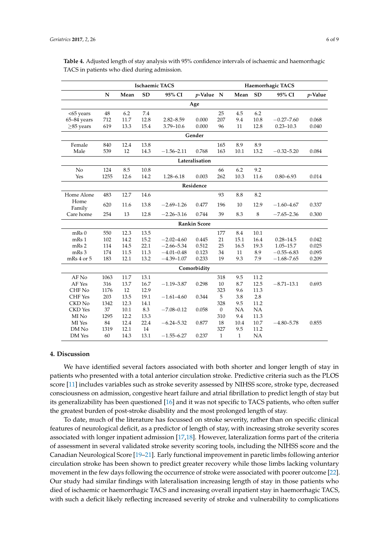|                    |             |      |           | <b>Ischaemic TACS</b> |                     | Haemorrhagic TACS |              |           |                |         |  |
|--------------------|-------------|------|-----------|-----------------------|---------------------|-------------------|--------------|-----------|----------------|---------|--|
|                    | $\mathbf N$ | Mean | <b>SD</b> | 95% CI                | $p$ -Value N        |                   | Mean         | <b>SD</b> | 95% CI         | p-Value |  |
| Age                |             |      |           |                       |                     |                   |              |           |                |         |  |
| $<65$ years        | 48          | 6.2  | 7.4       |                       |                     | 25                | 4.5          | 6.2       |                |         |  |
| $65 - 84$ years    | 712         | 11.7 | 12.8      | $2.82 - 8.59$         | 0.000               | 207               | 9.4          | 10.8      | $-0.27 - 7.60$ | 0.068   |  |
| $\geq$ 85 years    | 619         | 13.3 | 15.4      | $3.79 - 10.6$         | 0.000               | 96                | 11           | 12.8      | $0.23 - 10.3$  | 0.040   |  |
| Gender             |             |      |           |                       |                     |                   |              |           |                |         |  |
| Female             | 840         | 12.4 | 13.8      |                       |                     | 165               | $\ \, 8.9$   | 8.9       |                |         |  |
| Male               | 539         | 12   | 14.3      | $-1.56 - 2.11$        | 0.768               | 163               | 10.1         | 13.2      | $-0.32 - 5.20$ | 0.084   |  |
| Lateralisation     |             |      |           |                       |                     |                   |              |           |                |         |  |
| No                 | 124         | 8.5  | 10.8      |                       |                     | 66                | 6.2          | 9.2       |                |         |  |
| Yes                | 1255        | 12.6 | 14.2      | $1.28 - 6.18$         | 0.003               | 262               | 10.3         | 11.6      | $0.80 - 6.93$  | 0.014   |  |
| Residence          |             |      |           |                       |                     |                   |              |           |                |         |  |
| Home Alone         | 483         | 12.7 | 14.6      |                       |                     | 93                | 8.8          | 8.2       |                |         |  |
| Home<br>Family     | 620         | 11.6 | 13.8      | $-2.69 - 1.26$        | 0.477               | 196               | 10           | 12.9      | $-1.60 - 4.67$ | 0.337   |  |
| Care home          | 254         | 13   | 12.8      | $-2.26 - 3.16$        | 0.744               | 39                | 8.3          | 8         | $-7.65 - 2.36$ | 0.300   |  |
|                    |             |      |           |                       | <b>Rankin Score</b> |                   |              |           |                |         |  |
| $mRs$ <sub>0</sub> | 550         | 12.3 | 13.5      |                       |                     | 177               | 8.4          | 10.1      |                |         |  |
| mRs 1              | 102         | 14.2 | 15.2      | $-2.02 - 4.60$        | 0.445               | 21                | 15.1         | 16.4      | $0.28 - 14.5$  | 0.042   |  |
| mRs 2              | 114         | 14.5 | 22.1      | $-2.66 - 5.34$        | 0.512               | 25                | 16.5         | 19.3      | $1.05 - 15.7$  | 0.025   |  |
| mRs 3              | 174         | 11.5 | 11.3      | $-4.01 - 0.48$        | 0.123               | 34                | 11           | 8.9       | $-0.55 - 6.83$ | 0.095   |  |
| mRs 4 or 5         | 183         | 12.1 | 13.2      | $-4.39 - 1.07$        | 0.233               | 19                | 9.3          | 7.9       | $-1.68 - 7.65$ | 0.209   |  |
|                    |             |      |           |                       | Comorbidity         |                   |              |           |                |         |  |
| AF No              | 1063        | 11.7 | 13.1      |                       |                     | 318               | 9.5          | 11.2      |                |         |  |
| AF Yes             | 316         | 13.7 | 16.7      | $-1.19 - 3.87$        | 0.298               | 10                | 8.7          | 12.5      | $-8.71 - 13.1$ | 0.693   |  |
| CHF No             | 1176        | 12   | 12.9      |                       |                     | 323               | 9.6          | 11.3      |                |         |  |
| <b>CHF</b> Yes     | 203         | 13.5 | 19.1      | $-1.61 - 4.60$        | 0.344               | 5                 | 3.8          | 2.8       |                |         |  |
| CKD No             | 1342        | 12.3 | 14.1      |                       |                     | 328               | 9.5          | 11.2      |                |         |  |
| <b>CKD</b> Yes     | 37          | 10.1 | 8.3       | $-7.08 - 0.12$        | 0.058               | $\boldsymbol{0}$  | <b>NA</b>    | NA        |                |         |  |
| MI No              | 1295        | 12.2 | 13.3      |                       |                     | 310               | 9.4          | 11.3      |                |         |  |
| MI Yes             | 84          | 12.4 | 22.4      | $-6.24 - 5.32$        | 0.877               | 18                | 10.4         | 10.7      | $-4.80 - 5.78$ | 0.855   |  |
| DM No              | 1319        | 12.1 | 14        |                       |                     | 327               | 9.5          | 11.2      |                |         |  |
| DM Yes             | 60          | 14.3 | 13.1      | $-1.55 - 6.27$        | 0.237               | $\mathbf{1}$      | $\mathbf{1}$ | <b>NA</b> |                |         |  |

<span id="page-5-0"></span>**Table 4.** Adjusted length of stay analysis with 95% confidence intervals of ischaemic and haemorrhagic TACS in patients who died during admission.

## **4. Discussion**

We have identified several factors associated with both shorter and longer length of stay in patients who presented with a total anterior circulation stroke. Predictive criteria such as the PLOS score [\[11\]](#page-8-1) includes variables such as stroke severity assessed by NIHSS score, stroke type, decreased consciousness on admission, congestive heart failure and atrial fibrillation to predict length of stay but its generalizability has been questioned [\[16\]](#page-8-6) and it was not specific to TACS patients, who often suffer the greatest burden of post-stroke disability and the most prolonged length of stay.

To date, much of the literature has focussed on stroke severity, rather than on specific clinical features of neurological deficit, as a predictor of length of stay, with increasing stroke severity scores associated with longer inpatient admission [\[17](#page-8-7)[,18\]](#page-8-8). However, lateralization forms part of the criteria of assessment in several validated stroke severity scoring tools, including the NIHSS score and the Canadian Neurological Score [\[19](#page-8-9)[–21\]](#page-8-10). Early functional improvement in paretic limbs following anterior circulation stroke has been shown to predict greater recovery while those limbs lacking voluntary movement in the few days following the occurrence of stroke were associated with poorer outcome [\[22\]](#page-8-11). Our study had similar findings with lateralisation increasing length of stay in those patients who died of ischaemic or haemorrhagic TACS and increasing overall inpatient stay in haemorrhagic TACS, with such a deficit likely reflecting increased severity of stroke and vulnerability to complications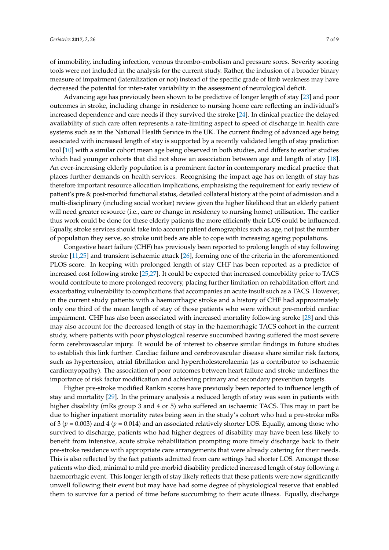of immobility, including infection, venous thrombo-embolism and pressure sores. Severity scoring tools were not included in the analysis for the current study. Rather, the inclusion of a broader binary measure of impairment (lateralization or not) instead of the specific grade of limb weakness may have decreased the potential for inter-rater variability in the assessment of neurological deficit.

Advancing age has previously been shown to be predictive of longer length of stay [\[23\]](#page-8-12) and poor outcomes in stroke, including change in residence to nursing home care reflecting an individual's increased dependence and care needs if they survived the stroke [\[24\]](#page-8-13). In clinical practice the delayed availability of such care often represents a rate-limiting aspect to speed of discharge in health care systems such as in the National Health Service in the UK. The current finding of advanced age being associated with increased length of stay is supported by a recently validated length of stay prediction tool [\[10\]](#page-8-0) with a similar cohort mean age being observed in both studies, and differs to earlier studies which had younger cohorts that did not show an association between age and length of stay [\[18\]](#page-8-8). An ever-increasing elderly population is a prominent factor in contemporary medical practice that places further demands on health services. Recognising the impact age has on length of stay has therefore important resource allocation implications, emphasising the requirement for early review of patient's pre & post-morbid functional status, detailed collateral history at the point of admission and a multi-disciplinary (including social worker) review given the higher likelihood that an elderly patient will need greater resource (i.e., care or change in residency to nursing home) utilisation. The earlier thus work could be done for these elderly patients the more efficiently their LOS could be influenced. Equally, stroke services should take into account patient demographics such as age, not just the number of population they serve, so stroke unit beds are able to cope with increasing ageing populations.

Congestive heart failure (CHF) has previously been reported to prolong length of stay following stroke [\[11,](#page-8-1)[25\]](#page-8-14) and transient ischaemic attack [\[26\]](#page-8-15), forming one of the criteria in the aforementioned PLOS score. In keeping with prolonged length of stay CHF has been reported as a predictor of increased cost following stroke [\[25,](#page-8-14)[27\]](#page-8-16). It could be expected that increased comorbidity prior to TACS would contribute to more prolonged recovery, placing further limitation on rehabilitation effort and exacerbating vulnerability to complications that accompanies an acute insult such as a TACS. However, in the current study patients with a haemorrhagic stroke and a history of CHF had approximately only one third of the mean length of stay of those patients who were without pre-morbid cardiac impairment. CHF has also been associated with increased mortality following stroke [\[28\]](#page-8-17) and this may also account for the decreased length of stay in the haemorrhagic TACS cohort in the current study, where patients with poor physiological reserve succumbed having suffered the most severe form cerebrovascular injury. It would be of interest to observe similar findings in future studies to establish this link further. Cardiac failure and cerebrovascular disease share similar risk factors, such as hypertension, atrial fibrillation and hypercholesterolaemia (as a contributor to ischaemic cardiomyopathy). The association of poor outcomes between heart failure and stroke underlines the importance of risk factor modification and achieving primary and secondary prevention targets.

Higher pre-stroke modified Rankin scores have previously been reported to influence length of stay and mortality [\[29\]](#page-8-18). In the primary analysis a reduced length of stay was seen in patients with higher disability (mRs group 3 and 4 or 5) who suffered an ischaemic TACS. This may in part be due to higher inpatient mortality rates being seen in the study's cohort who had a pre-stroke mRs of 3 (*p* = 0.003) and 4 (*p* = 0.014) and an associated relatively shorter LOS. Equally, among those who survived to discharge, patients who had higher degrees of disability may have been less likely to benefit from intensive, acute stroke rehabilitation prompting more timely discharge back to their pre-stroke residence with appropriate care arrangements that were already catering for their needs. This is also reflected by the fact patients admitted from care settings had shorter LOS. Amongst those patients who died, minimal to mild pre-morbid disability predicted increased length of stay following a haemorrhagic event. This longer length of stay likely reflects that these patients were now significantly unwell following their event but may have had some degree of physiological reserve that enabled them to survive for a period of time before succumbing to their acute illness. Equally, discharge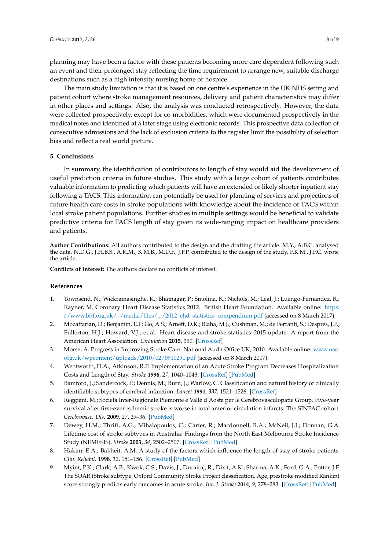planning may have been a factor with these patients becoming more care dependent following such an event and their prolonged stay reflecting the time requirement to arrange new, suitable discharge destinations such as a high intensity nursing home or hospice.

The main study limitation is that it is based on one centre's experience in the UK NHS setting and patient cohort where stroke management resources, delivery and patient characteristics may differ in other places and settings. Also, the analysis was conducted retrospectively. However, the data were collected prospectively, except for co-morbidities, which were documented prospectively in the medical notes and identified at a later stage using electronic records. This prospective data collection of consecutive admissions and the lack of exclusion criteria to the register limit the possibility of selection bias and reflect a real world picture.

### **5. Conclusions**

In summary, the identification of contributors to length of stay would aid the development of useful prediction criteria in future studies. This study with a large cohort of patients contributes valuable information to predicting which patients will have an extended or likely shorter inpatient stay following a TACS. This information can potentially be used for planning of services and projections of future health care costs in stroke populations with knowledge about the incidence of TACS within local stroke patient populations. Further studies in multiple settings would be beneficial to validate predictive criteria for TACS length of stay given its wide-ranging impact on healthcare providers and patients.

**Author Contributions:** All authors contributed to the design and the drafting the article. M.Y., A.B.C. analysed the data. N.D.G., J.H.B.S., A.K.M., K.M.B., M.D.F., J.F.P. contributed to the design of the study. P.K.M., J.P.C. wrote the article.

**Conflicts of Interest:** The authors declare no conflicts of interest.

#### **References**

- <span id="page-7-0"></span>1. Townsend, N.; Wickramasinghe, K.; Bhatnagar, P.; Smolina, K.; Nichols, M.; Leal, J.; Luengo-Fernandez, R.; Rayner, M. Coronary Heart Disease Statistics 2012. British Heart Foundation. Available online: [https:](https://www.bhf.org.uk/~/media/files/.../2012_chd_statistics_compendium.pdf) [//www.bhf.org.uk/~/media/files/.../2012\\_chd\\_statistics\\_compendium.pdf](https://www.bhf.org.uk/~/media/files/.../2012_chd_statistics_compendium.pdf) (accessed on 8 March 2017).
- <span id="page-7-1"></span>2. Mozaffarian, D.; Benjamin, E.J.; Go, A.S.; Arnett, D.K.; Blaha, M.J.; Cushman, M.; de Ferranti, S.; Després, J.P.; Fullerton, H.J.; Howard, V.J.; et al. Heart disease and stroke statistics–2015 update: A report from the American Heart Association. *Circulation* **2015**, *131*. [\[CrossRef\]](http://dx.doi.org/10.1161/CIR.0000000000000157)
- <span id="page-7-2"></span>3. Morse, A. Progress in Improving Stroke Care. National Audit Office UK, 2010. Available online: [www.nao.](www.nao.org.uk/wpcontent/uploads/2010/02/0910291.pdf) [org.uk/wpcontent/uploads/2010/02/0910291.pdf](www.nao.org.uk/wpcontent/uploads/2010/02/0910291.pdf) (accessed on 8 March 2017).
- <span id="page-7-3"></span>4. Wentworth, D.A.; Atkinson, R.P. Implementation of an Acute Stroke Program Decreases Hospitalization Costs and Length of Stay. *Stroke* **1996**, *27*, 1040–1043. [\[CrossRef\]](http://dx.doi.org/10.1161/01.STR.27.6.1040) [\[PubMed\]](http://www.ncbi.nlm.nih.gov/pubmed/8650711)
- <span id="page-7-4"></span>5. Bamford, J.; Sandercock, P.; Dennis, M.; Burn, J.; Warlow, C. Classification and natural history of clinically identifiable subtypes of cerebral infarction. *Lancet* **1991**, *337*, 1521–1526. [\[CrossRef\]](http://dx.doi.org/10.1016/0140-6736(91)93206-O)
- <span id="page-7-5"></span>6. Reggiani, M.; Società Inter-Regionale Piemonte e Valle d'Aosta per le Cerebrovasculopatie Group. Five-year survival after first-ever ischemic stroke is worse in total anterior circulation infarcts: The SINPAC cohort. *Cerebrovasc. Dis.* **2009**, *27*, 29–36. [\[PubMed\]](http://www.ncbi.nlm.nih.gov/pubmed/19018135)
- <span id="page-7-6"></span>7. Dewey, H.M.; Thrift, A.G.; Mihalopoulos, C.; Carter, R.; Macdonnell, R.A.; McNeil, J.J.; Donnan, G.A. Lifetime cost of stroke subtypes in Australia: Findings from the North East Melbourne Stroke Incidence Study (NEMESIS). *Stroke* **2003**, *34*, 2502–2507. [\[CrossRef\]](http://dx.doi.org/10.1161/01.STR.0000091395.85357.09) [\[PubMed\]](http://www.ncbi.nlm.nih.gov/pubmed/12970517)
- <span id="page-7-7"></span>8. Hakim, E.A.; Bakheit, A.M. A study of the factors which influence the length of stay of stroke patients. *Clin. Rehabil.* **1998**, *12*, 151–156. [\[CrossRef\]](http://dx.doi.org/10.1191/026921598676265330) [\[PubMed\]](http://www.ncbi.nlm.nih.gov/pubmed/9619657)
- <span id="page-7-8"></span>9. Myint, P.K.; Clark, A.B.; Kwok, C.S.; Davis, J.; Durairaj, R.; Dixit, A.K.; Sharma, A.K.; Ford, G.A.; Potter, J.F. The SOAR (Stroke subtype, Oxford Community Stroke Project classification, Age, prestroke modified Rankin) score strongly predicts early outcomes in acute stroke. *Int. J. Stroke* **2014**, *9*, 278–283. [\[CrossRef\]](http://dx.doi.org/10.1111/ijs.12088) [\[PubMed\]](http://www.ncbi.nlm.nih.gov/pubmed/23834262)